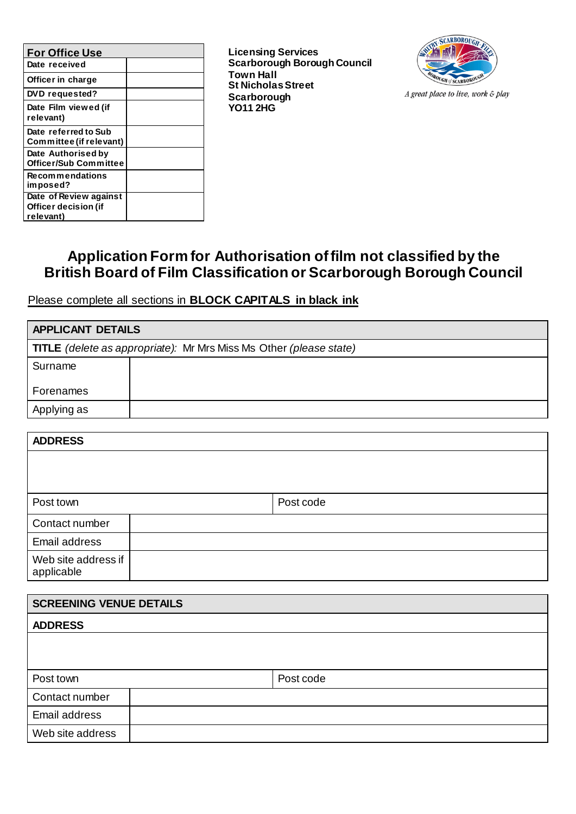| <b>For Office Use</b>                                       |  |
|-------------------------------------------------------------|--|
| Date received                                               |  |
| Officer in charge                                           |  |
| DVD requested?                                              |  |
| Date Film viewed (if<br>relevant)                           |  |
| Date referred to Sub<br>Committee (if relevant)             |  |
| Date Authorised by<br><b>Officer/Sub Committee</b>          |  |
| <b>Recommendations</b><br>imposed?                          |  |
| Date of Review against<br>Officer decision (if<br>relevant) |  |

**Licensing Services Scarborough Borough Council Town Hall St Nicholas Street Scarborough YO11 2HG**



A great place to live, work & play

## **Application Form for Authorisation of film not classified by the British Board of Film Classification or Scarborough Borough Council**

Please complete all sections in **BLOCK CAPITALS in black ink**

| <b>APPLICANT DETAILS</b> |                                                                           |
|--------------------------|---------------------------------------------------------------------------|
|                          | <b>TITLE</b> (delete as appropriate): Mr Mrs Miss Ms Other (please state) |
| Surname                  |                                                                           |
| Forenames                |                                                                           |
| Applying as              |                                                                           |

| <b>ADDRESS</b>                    |           |
|-----------------------------------|-----------|
|                                   |           |
|                                   |           |
| Post town                         | Post code |
| Contact number                    |           |
| Email address                     |           |
| Web site address if<br>applicable |           |

| <b>SCREENING VENUE DETAILS</b> |           |  |
|--------------------------------|-----------|--|
| <b>ADDRESS</b>                 |           |  |
|                                |           |  |
|                                |           |  |
| Post town                      | Post code |  |
| Contact number                 |           |  |
| Email address                  |           |  |
| Web site address               |           |  |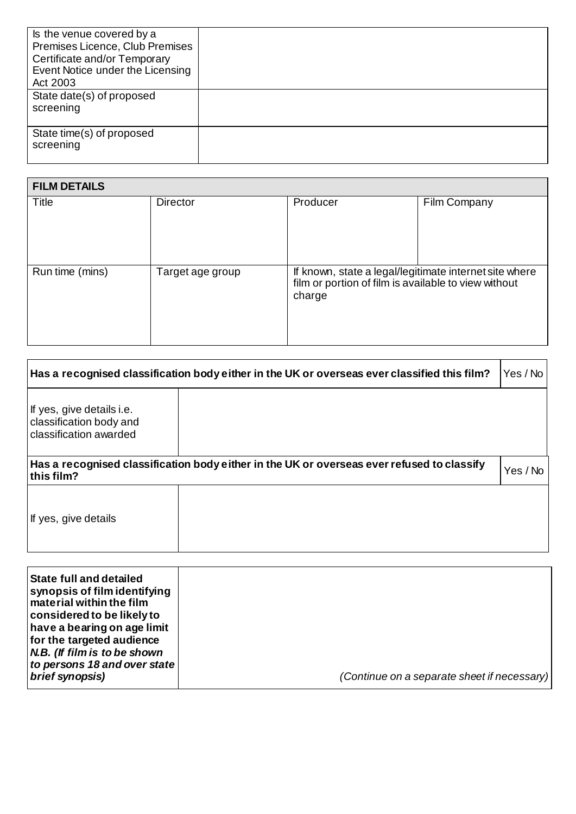| Is the venue covered by a<br>Premises Licence, Club Premises<br>Certificate and/or Temporary<br>Event Notice under the Licensing<br>Act 2003 |  |
|----------------------------------------------------------------------------------------------------------------------------------------------|--|
| State date(s) of proposed<br>screening                                                                                                       |  |
| State time(s) of proposed<br>screening                                                                                                       |  |

| <b>FILM DETAILS</b> |                  |                                                                                                                          |              |
|---------------------|------------------|--------------------------------------------------------------------------------------------------------------------------|--------------|
| Title               | Director         | Producer                                                                                                                 | Film Company |
| Run time (mins)     | Target age group | If known, state a legal/legitimate internet site where<br>film or portion of film is available to view without<br>charge |              |

|                                                                                | Has a recognised classification body either in the UK or overseas ever classified this film? | Yes / No |
|--------------------------------------------------------------------------------|----------------------------------------------------------------------------------------------|----------|
| If yes, give details i.e.<br>classification body and<br>classification awarded |                                                                                              |          |
| this film?                                                                     | Has a recognised classification body either in the UK or overseas ever refused to classify   | Yes / No |
| If yes, give details                                                           |                                                                                              |          |
|                                                                                |                                                                                              |          |

| <b>State full and detailed</b><br>synopsis of film identifying<br>material within the film<br>considered to be likely to<br>have a bearing on age limit<br>for the targeted audience<br>N.B. (If film is to be shown<br>to persons 18 and over state<br>brief synopsis) | (Continue on a separate sheet if necessary) |
|-------------------------------------------------------------------------------------------------------------------------------------------------------------------------------------------------------------------------------------------------------------------------|---------------------------------------------|
|-------------------------------------------------------------------------------------------------------------------------------------------------------------------------------------------------------------------------------------------------------------------------|---------------------------------------------|